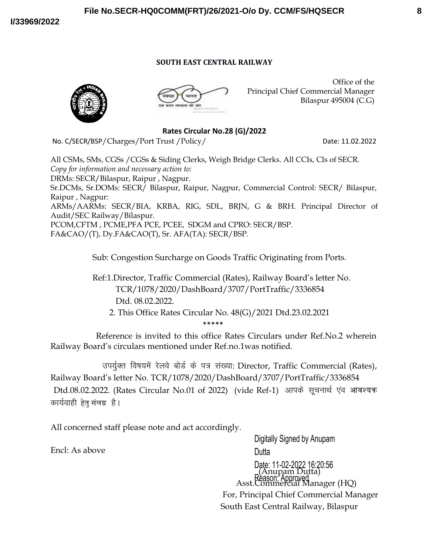#### **SOUTH EAST CENTRAL RAILWAY**

**File No.SECR-HQ0COMM(FRT)/26/2021-O/o Dy. CCM/FS/HQSECR**





Office of the Principal Chief Commercial Manager Bilaspur 495004 (C.G)

**Rates Circular No.28 (G)/2022**

No. C/SECR/BSP/Charges/Port Trust /Policy/ Date: 11.02.2022

All CSMs, SMs, CGSs /CGSs & Siding Clerks, Weigh Bridge Clerks. All CCIs, CIs of SECR. *Copy for information and necessary action to:* DRMs: SECR/Bilaspur, Raipur , Nagpur. Sr.DCMs, Sr.DOMs: SECR/ Bilaspur, Raipur, Nagpur, Commercial Control: SECR/ Bilaspur, Raipur , Nagpur: ARMs/AARMs: SECR/BIA, KRBA, RIG, SDL, BRJN, G & BRH. Principal Director of Audit/SEC Railway/Bilaspur. PCOM,CFTM , PCME,PFA PCE, PCEE, SDGM and CPRO: SECR/BSP. FA&CAO/(T), Dy.FA&CAO(T), Sr. AFA(TA): SECR/BSP.

Sub: Congestion Surcharge on Goods Traffic Originating from Ports.

 Ref:1.Director, Traffic Commercial (Rates), Railway Board's letter No. TCR/1078/2020/DashBoard/3707/PortTraffic/3336854 Dtd. 08.02.2022.

 2. This Office Rates Circular No. 48(G)/2021 Dtd.23.02.2021 \*\*\*\*\*

 Reference is invited to this office Rates Circulars under Ref.No.2 wherein Railway Board's circulars mentioned under Ref.no.1was notified.

उपर्युक्त विषयमें रेलवे बोर्ड के पत्र संख्या: Director, Traffic Commercial (Rates), Railway Board's letter No. TCR/1078/2020/DashBoard/3707/PortTraffic/3336854 Dtd.08.02.2022. (Rates Circular No.01 of 2022) (vide Ref-1) आपके सूचनार्थ एंव आवश्यक कार्यवाही हेतु संलग्न है।

All concerned staff please note and act accordingly.

Encl: As above

Digitally Signed by Anupam **Dutta** Date: 11-02-2022 16:20:56<br>(Anupam Dutta) Reason: Approved The Reason: Approved The Reason: Asst.Commercial Manager (HQ) For, Principal Chief Commercial Manager South East Central Railway, Bilaspur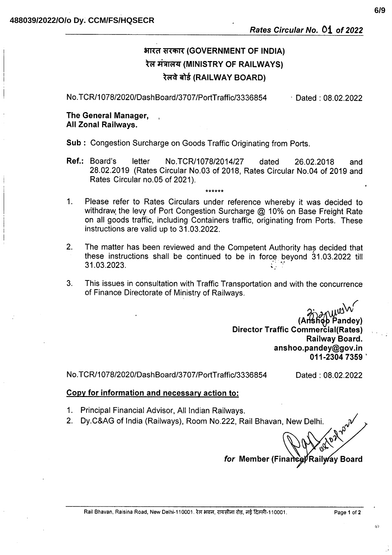# भारत सरकार (GOVERNMENT OF INDIA) रेल मंत्रालय (MINISTRY OF RAILWAYS) रेलवे बोर्ड (RAILWAY BOARD)

No.TCR/1078/2020/DashBoard/3707/PortTraffic/3336854 Dated:  $08.02.2022$ 

## The General Manager. All Zonal Railwavs.

**Sub: Congestion Surcharge on Goods Traffic Originating from Ports.** 

Ref.: Board's letter No.TCR/1078/2014/27 dated 26.02.2018 and 28.02.2019 (Rates Circular No.03 of 2018, Rates Circular No.04 of 2019 and Rates Circular no.05 of 2021).

بمارك بمارك بمارك

- Please refer to Rates Circulars under reference whereby it was decided to  $1<sub>1</sub>$ withdraw the levy of Port Congestion Surcharge @ 10% on Base Freight Rate on all goods traffic, including Containers traffic, originating from Ports. These instructions are valid up to 31,03,2022.
- $2<sub>1</sub>$ The matter has been reviewed and the Competent Authority has decided that these instructions shall be continued to be in force beyond 31.03.2022 till 31.03.2023.
- $3.$ This issues in consultation with Traffic Transportation and with the concurrence of Finance Directorate of Ministry of Railways.

śhợp Pandey) Director Traffic Commercial(Rates) Railway Board. anshoo.pandev@gov.in 011-2304 7359

No.TCR/1078/2020/DashBoard/3707/PortTraffic/3336854

Dated: 08.02.2022

### Copy for information and necessary action to:

- 1. Principal Financial Advisor, All Indian Railways.
- 2. Dy.C&AG of India (Railways), Room No.222, Rail Bhavan, New Delhi.

for Member (Finance) <sup>1</sup>Railway Board

40